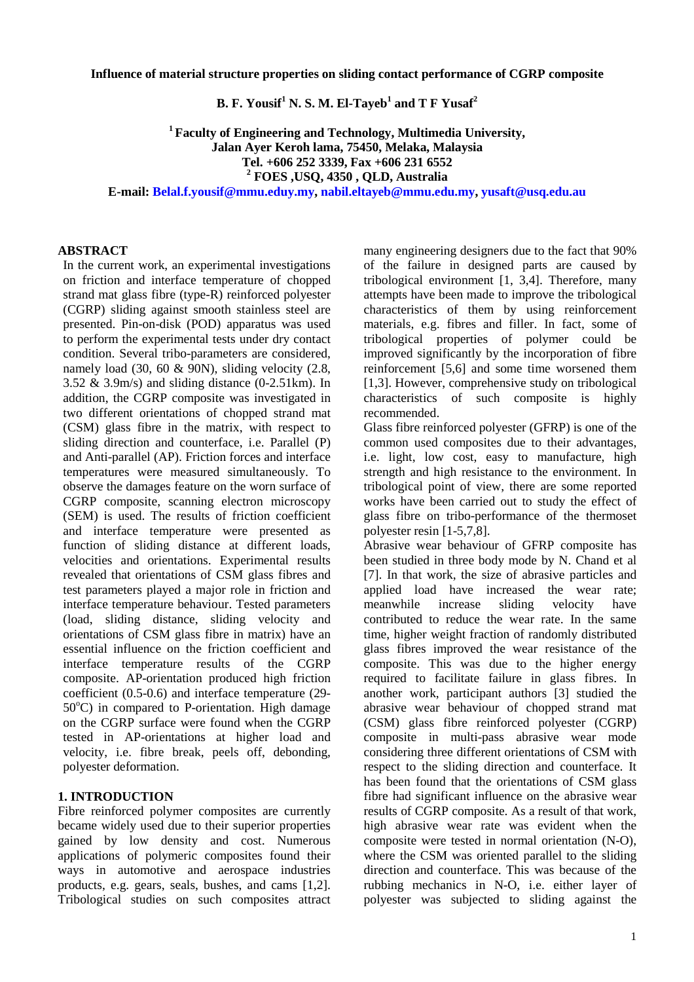**B. F. Yousif<sup>1</sup> N. S. M. El-Tayeb<sup>1</sup> and T F Yusaf<sup>2</sup>**

**<sup>1</sup>Faculty of Engineering and Technology, Multimedia University, Jalan Ayer Keroh lama, 75450, Melaka, Malaysia Tel. +606 252 3339, Fax +606 231 6552 2 FOES ,USQ, 4350 , QLD, Australia** 

**E-mail: Belal.f.yousif@mmu.eduy.my, nabil.eltayeb@mmu.edu.my, yusaft@usq.edu.au**

# **ABSTRACT**

In the current work, an experimental investigations on friction and interface temperature of chopped strand mat glass fibre (type-R) reinforced polyester (CGRP) sliding against smooth stainless steel are presented. Pin-on-disk (POD) apparatus was used to perform the experimental tests under dry contact condition. Several tribo-parameters are considered, namely load (30, 60 & 90N), sliding velocity (2.8, 3.52 & 3.9m/s) and sliding distance (0-2.51km). In addition, the CGRP composite was investigated in two different orientations of chopped strand mat (CSM) glass fibre in the matrix, with respect to sliding direction and counterface, i.e. Parallel (P) and Anti-parallel (AP). Friction forces and interface temperatures were measured simultaneously. To observe the damages feature on the worn surface of CGRP composite, scanning electron microscopy (SEM) is used. The results of friction coefficient and interface temperature were presented as function of sliding distance at different loads, velocities and orientations. Experimental results revealed that orientations of CSM glass fibres and test parameters played a major role in friction and interface temperature behaviour. Tested parameters (load, sliding distance, sliding velocity and orientations of CSM glass fibre in matrix) have an essential influence on the friction coefficient and interface temperature results of the CGRP composite. AP-orientation produced high friction coefficient (0.5-0.6) and interface temperature (29-  $50^{\circ}$ C) in compared to P-orientation. High damage on the CGRP surface were found when the CGRP tested in AP-orientations at higher load and velocity, i.e. fibre break, peels off, debonding, polyester deformation.

# **1. INTRODUCTION**

Fibre reinforced polymer composites are currently became widely used due to their superior properties gained by low density and cost. Numerous applications of polymeric composites found their ways in automotive and aerospace industries products, e.g. gears, seals, bushes, and cams [1,2]. Tribological studies on such composites attract many engineering designers due to the fact that 90% of the failure in designed parts are caused by tribological environment  $[1, 3, 4]$ . Therefore, many attempts have been made to improve the tribological characteristics of them by using reinforcement materials, e.g. fibres and filler. In fact, some of tribological properties of polymer could be improved significantly by the incorporation of fibre reinforcement [5,6] and some time worsened them [1,3]. However, comprehensive study on tribological characteristics of such composite is highly recommended.

Glass fibre reinforced polyester (GFRP) is one of the common used composites due to their advantages, i.e. light, low cost, easy to manufacture, high strength and high resistance to the environment. In tribological point of view, there are some reported works have been carried out to study the effect of glass fibre on tribo-performance of the thermoset polyester resin [1-5,7,8].

Abrasive wear behaviour of GFRP composite has been studied in three body mode by N. Chand et al [7]. In that work, the size of abrasive particles and applied load have increased the wear rate; meanwhile increase sliding velocity have contributed to reduce the wear rate. In the same time, higher weight fraction of randomly distributed glass fibres improved the wear resistance of the composite. This was due to the higher energy required to facilitate failure in glass fibres. In another work, participant authors [3] studied the abrasive wear behaviour of chopped strand mat (CSM) glass fibre reinforced polyester (CGRP) composite in multi-pass abrasive wear mode considering three different orientations of CSM with respect to the sliding direction and counterface. It has been found that the orientations of CSM glass fibre had significant influence on the abrasive wear results of CGRP composite. As a result of that work, high abrasive wear rate was evident when the composite were tested in normal orientation (N-O), where the CSM was oriented parallel to the sliding direction and counterface. This was because of the rubbing mechanics in N-O, i.e. either layer of polyester was subjected to sliding against the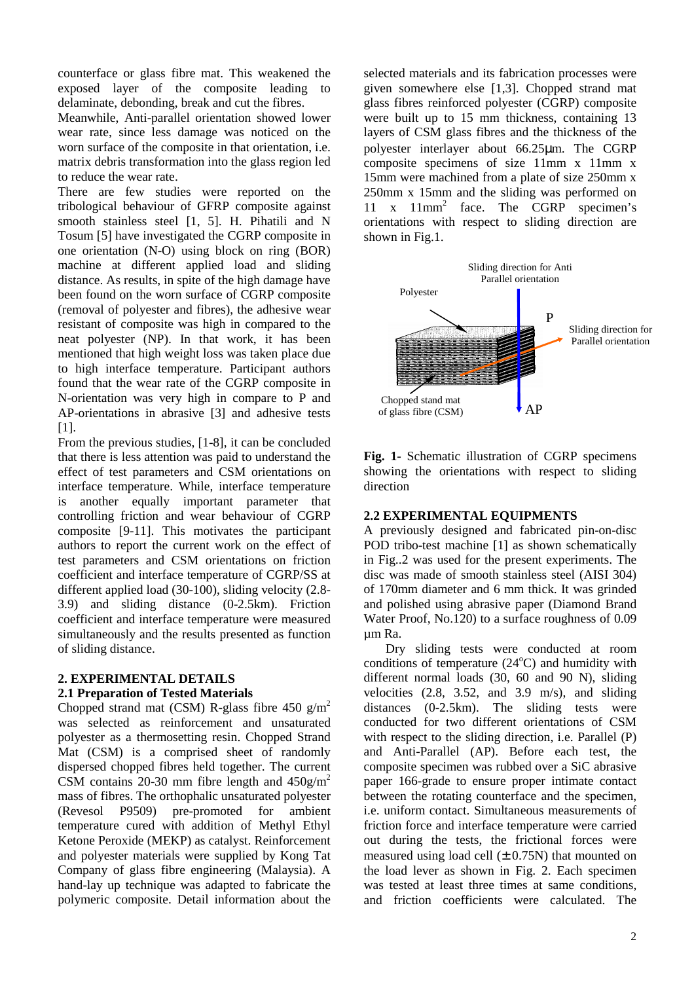counterface or glass fibre mat. This weakened the exposed layer of the composite leading to delaminate, debonding, break and cut the fibres.

Meanwhile, Anti-parallel orientation showed lower wear rate, since less damage was noticed on the worn surface of the composite in that orientation, i.e. matrix debris transformation into the glass region led to reduce the wear rate.

There are few studies were reported on the tribological behaviour of GFRP composite against smooth stainless steel [1, 5]. H. Pihatili and N Tosum [5] have investigated the CGRP composite in one orientation (N-O) using block on ring (BOR) machine at different applied load and sliding distance. As results, in spite of the high damage have been found on the worn surface of CGRP composite (removal of polyester and fibres), the adhesive wear resistant of composite was high in compared to the neat polyester (NP). In that work, it has been mentioned that high weight loss was taken place due to high interface temperature. Participant authors found that the wear rate of the CGRP composite in N-orientation was very high in compare to P and AP-orientations in abrasive [3] and adhesive tests [1].

From the previous studies, [1-8], it can be concluded that there is less attention was paid to understand the effect of test parameters and CSM orientations on interface temperature. While, interface temperature is another equally important parameter that controlling friction and wear behaviour of CGRP composite [9-11]. This motivates the participant authors to report the current work on the effect of test parameters and CSM orientations on friction coefficient and interface temperature of CGRP/SS at different applied load (30-100), sliding velocity (2.8- 3.9) and sliding distance (0-2.5km). Friction coefficient and interface temperature were measured simultaneously and the results presented as function of sliding distance.

# **2. EXPERIMENTAL DETAILS**

#### **2.1 Preparation of Tested Materials**

Chopped strand mat (CSM) R-glass fibre 450 g/m<sup>2</sup> was selected as reinforcement and unsaturated polyester as a thermosetting resin. Chopped Strand Mat (CSM) is a comprised sheet of randomly dispersed chopped fibres held together. The current CSM contains 20-30 mm fibre length and  $450g/m^2$ mass of fibres. The orthophalic unsaturated polyester (Revesol P9509) pre-promoted for ambient temperature cured with addition of Methyl Ethyl Ketone Peroxide (MEKP) as catalyst. Reinforcement and polyester materials were supplied by Kong Tat Company of glass fibre engineering (Malaysia). A hand-lay up technique was adapted to fabricate the polymeric composite. Detail information about the selected materials and its fabrication processes were given somewhere else [1,3]. Chopped strand mat glass fibres reinforced polyester (CGRP) composite were built up to 15 mm thickness, containing 13 layers of CSM glass fibres and the thickness of the polyester interlayer about 66.25µm. The CGRP composite specimens of size 11mm x 11mm x 15mm were machined from a plate of size 250mm x 250mm x 15mm and the sliding was performed on 11 x 11mm<sup>2</sup> face. The CGRP specimen's orientations with respect to sliding direction are shown in Fig.1.



**Fig. 1-** Schematic illustration of CGRP specimens showing the orientations with respect to sliding direction

### **2.2 EXPERIMENTAL EQUIPMENTS**

A previously designed and fabricated pin-on-disc POD tribo-test machine [1] as shown schematically in Fig..2 was used for the present experiments. The disc was made of smooth stainless steel (AISI 304) of 170mm diameter and 6 mm thick. It was grinded and polished using abrasive paper (Diamond Brand Water Proof, No.120) to a surface roughness of 0.09 µm Ra.

Dry sliding tests were conducted at room conditions of temperature  $(24^{\circ}$ C) and humidity with different normal loads (30, 60 and 90 N), sliding velocities (2.8, 3.52, and 3.9 m/s), and sliding distances (0-2.5km). The sliding tests were conducted for two different orientations of CSM with respect to the sliding direction, i.e. Parallel (P) and Anti-Parallel (AP). Before each test, the composite specimen was rubbed over a SiC abrasive paper 166-grade to ensure proper intimate contact between the rotating counterface and the specimen, i.e. uniform contact. Simultaneous measurements of friction force and interface temperature were carried out during the tests, the frictional forces were measured using load cell  $(\pm 0.75N)$  that mounted on the load lever as shown in Fig. 2. Each specimen was tested at least three times at same conditions, and friction coefficients were calculated. The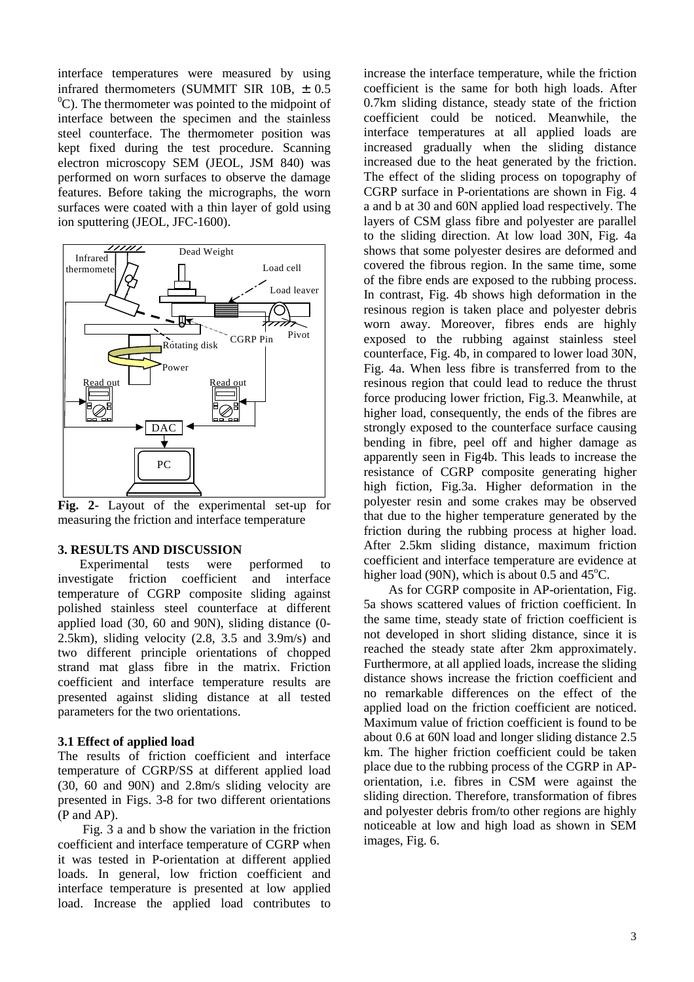interface temperatures were measured by using infrared thermometers (SUMMIT SIR  $10B$ ,  $\pm 0.5$  ${}^{0}C$ ). The thermometer was pointed to the midpoint of interface between the specimen and the stainless steel counterface. The thermometer position was kept fixed during the test procedure. Scanning electron microscopy SEM (JEOL, JSM 840) was performed on worn surfaces to observe the damage features. Before taking the micrographs, the worn surfaces were coated with a thin layer of gold using ion sputtering (JEOL, JFC-1600).



**Fig. 2-** Layout of the experimental set-up for measuring the friction and interface temperature

#### **3. RESULTS AND DISCUSSION**

Experimental tests were performed to investigate friction coefficient and interface temperature of CGRP composite sliding against polished stainless steel counterface at different applied load (30, 60 and 90N), sliding distance (0- 2.5km), sliding velocity (2.8, 3.5 and 3.9m/s) and two different principle orientations of chopped strand mat glass fibre in the matrix. Friction coefficient and interface temperature results are presented against sliding distance at all tested parameters for the two orientations.

## **3.1 Effect of applied load**

The results of friction coefficient and interface temperature of CGRP/SS at different applied load (30, 60 and 90N) and 2.8m/s sliding velocity are presented in Figs. 3-8 for two different orientations (P and AP).

Fig. 3 a and b show the variation in the friction coefficient and interface temperature of CGRP when it was tested in P-orientation at different applied loads. In general, low friction coefficient and interface temperature is presented at low applied load. Increase the applied load contributes to increase the interface temperature, while the friction coefficient is the same for both high loads. After 0.7km sliding distance, steady state of the friction coefficient could be noticed. Meanwhile, the interface temperatures at all applied loads are increased gradually when the sliding distance increased due to the heat generated by the friction. The effect of the sliding process on topography of CGRP surface in P-orientations are shown in Fig. 4 a and b at 30 and 60N applied load respectively. The layers of CSM glass fibre and polyester are parallel to the sliding direction. At low load 30N, Fig. 4a shows that some polyester desires are deformed and covered the fibrous region. In the same time, some of the fibre ends are exposed to the rubbing process. In contrast, Fig. 4b shows high deformation in the resinous region is taken place and polyester debris worn away. Moreover, fibres ends are highly exposed to the rubbing against stainless steel counterface, Fig. 4b, in compared to lower load 30N, Fig. 4a. When less fibre is transferred from to the resinous region that could lead to reduce the thrust force producing lower friction, Fig.3. Meanwhile, at higher load, consequently, the ends of the fibres are strongly exposed to the counterface surface causing bending in fibre, peel off and higher damage as apparently seen in Fig4b. This leads to increase the resistance of CGRP composite generating higher high fiction, Fig.3a. Higher deformation in the polyester resin and some crakes may be observed that due to the higher temperature generated by the friction during the rubbing process at higher load. After 2.5km sliding distance, maximum friction coefficient and interface temperature are evidence at higher load (90N), which is about  $0.5$  and  $45^{\circ}$ C.

As for CGRP composite in AP-orientation, Fig. 5a shows scattered values of friction coefficient. In the same time, steady state of friction coefficient is not developed in short sliding distance, since it is reached the steady state after 2km approximately. Furthermore, at all applied loads, increase the sliding distance shows increase the friction coefficient and no remarkable differences on the effect of the applied load on the friction coefficient are noticed. Maximum value of friction coefficient is found to be about 0.6 at 60N load and longer sliding distance 2.5 km. The higher friction coefficient could be taken place due to the rubbing process of the CGRP in APorientation, i.e. fibres in CSM were against the sliding direction. Therefore, transformation of fibres and polyester debris from/to other regions are highly noticeable at low and high load as shown in SEM images, Fig. 6.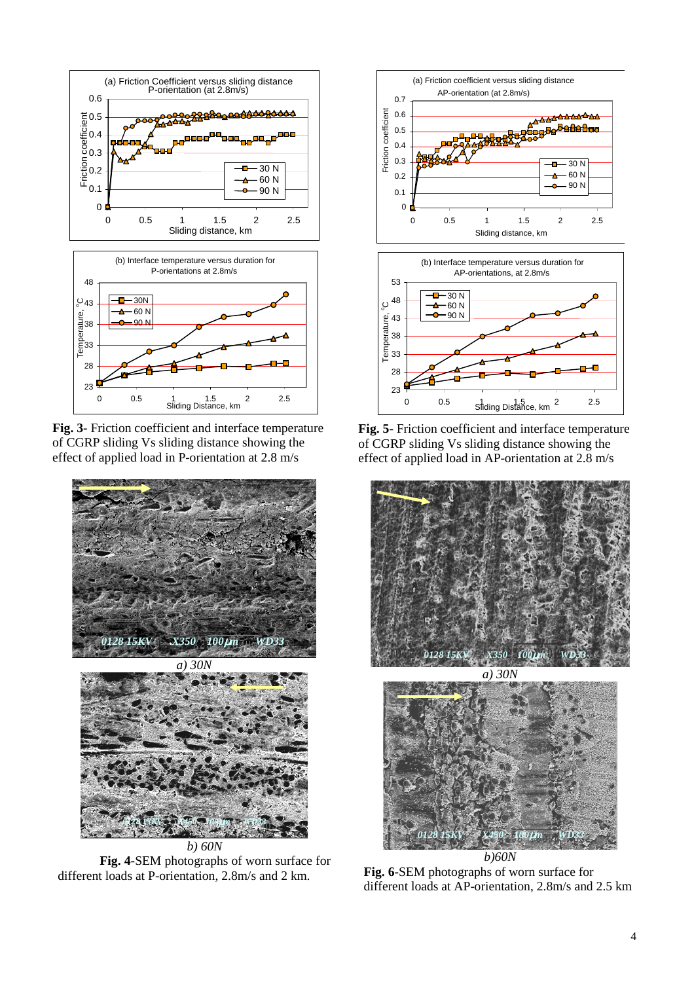



of CGRP sliding Vs sliding distance showing the effect of applied load in P-orientation at 2.8 m/s



*b) 60N* **Fig. 4-**SEM photographs of worn surface for different loads at P-orientation, 2.8m/s and 2 km.





**Fig. 5-** Friction coefficient and interface temperature of CGRP sliding Vs sliding distance showing the effect of applied load in AP-orientation at 2.8 m/s



**Fig. 6-**SEM photographs of worn surface for different loads at AP-orientation, 2.8m/s and 2.5 km

 $\overline{a}$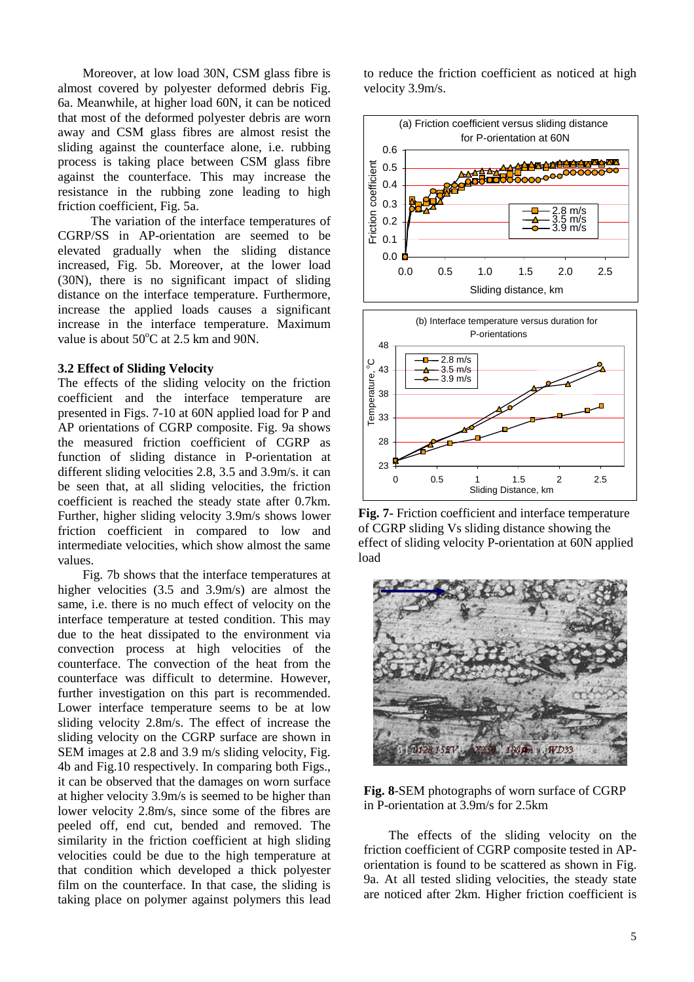Moreover, at low load 30N, CSM glass fibre is almost covered by polyester deformed debris Fig. 6a. Meanwhile, at higher load 60N, it can be noticed that most of the deformed polyester debris are worn away and CSM glass fibres are almost resist the sliding against the counterface alone, i.e. rubbing process is taking place between CSM glass fibre against the counterface. This may increase the resistance in the rubbing zone leading to high friction coefficient, Fig. 5a.

The variation of the interface temperatures of CGRP/SS in AP-orientation are seemed to be elevated gradually when the sliding distance increased, Fig. 5b. Moreover, at the lower load (30N), there is no significant impact of sliding distance on the interface temperature. Furthermore, increase the applied loads causes a significant increase in the interface temperature. Maximum value is about  $50^{\circ}$ C at 2.5 km and 90N.

## **3.2 Effect of Sliding Velocity**

The effects of the sliding velocity on the friction coefficient and the interface temperature are presented in Figs. 7-10 at 60N applied load for P and AP orientations of CGRP composite. Fig. 9a shows the measured friction coefficient of CGRP as function of sliding distance in P-orientation at different sliding velocities 2.8, 3.5 and 3.9m/s. it can be seen that, at all sliding velocities, the friction coefficient is reached the steady state after 0.7km. Further, higher sliding velocity 3.9m/s shows lower friction coefficient in compared to low and intermediate velocities, which show almost the same values.

Fig. 7b shows that the interface temperatures at higher velocities (3.5 and 3.9m/s) are almost the same, i.e. there is no much effect of velocity on the interface temperature at tested condition. This may due to the heat dissipated to the environment via convection process at high velocities of the counterface. The convection of the heat from the counterface was difficult to determine. However, further investigation on this part is recommended. Lower interface temperature seems to be at low sliding velocity 2.8m/s. The effect of increase the sliding velocity on the CGRP surface are shown in SEM images at 2.8 and 3.9 m/s sliding velocity, Fig. 4b and Fig.10 respectively. In comparing both Figs., it can be observed that the damages on worn surface at higher velocity 3.9m/s is seemed to be higher than lower velocity 2.8m/s, since some of the fibres are peeled off, end cut, bended and removed. The similarity in the friction coefficient at high sliding velocities could be due to the high temperature at that condition which developed a thick polyester film on the counterface. In that case, the sliding is taking place on polymer against polymers this lead to reduce the friction coefficient as noticed at high velocity 3.9m/s.



**Fig. 7-** Friction coefficient and interface temperature of CGRP sliding Vs sliding distance showing the effect of sliding velocity P-orientation at 60N applied load



**Fig. 8**-SEM photographs of worn surface of CGRP in P-orientation at 3.9m/s for 2.5km

The effects of the sliding velocity on the friction coefficient of CGRP composite tested in APorientation is found to be scattered as shown in Fig. 9a. At all tested sliding velocities, the steady state are noticed after 2km. Higher friction coefficient is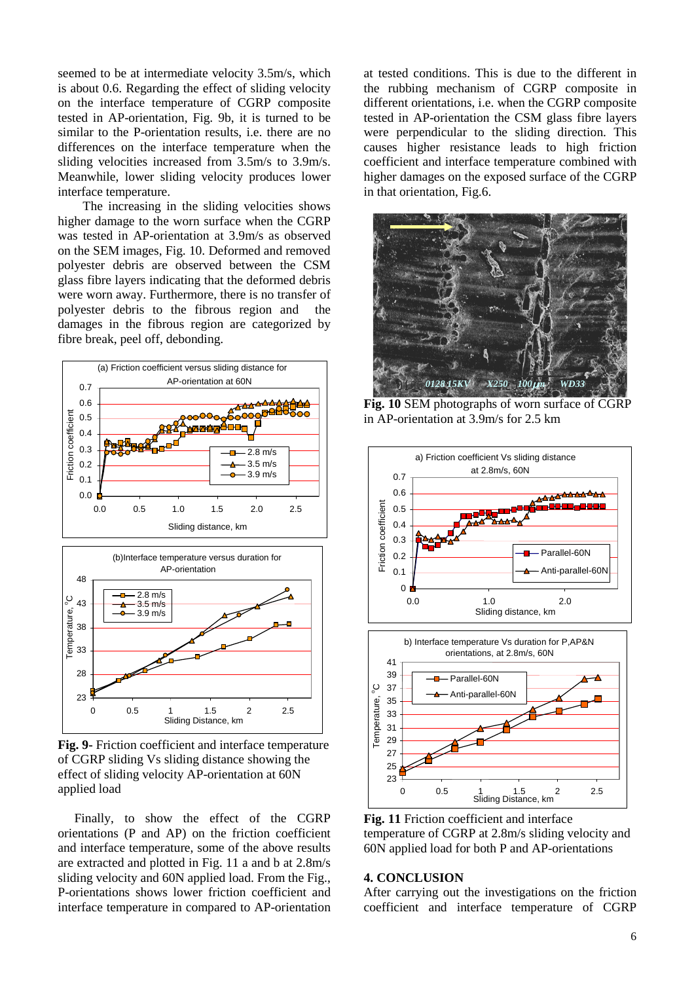seemed to be at intermediate velocity 3.5m/s, which is about 0.6. Regarding the effect of sliding velocity on the interface temperature of CGRP composite tested in AP-orientation, Fig. 9b, it is turned to be similar to the P-orientation results, i.e. there are no differences on the interface temperature when the sliding velocities increased from 3.5m/s to 3.9m/s. Meanwhile, lower sliding velocity produces lower interface temperature.

The increasing in the sliding velocities shows higher damage to the worn surface when the CGRP was tested in AP-orientation at 3.9m/s as observed on the SEM images, Fig. 10. Deformed and removed polyester debris are observed between the CSM glass fibre layers indicating that the deformed debris were worn away. Furthermore, there is no transfer of polyester debris to the fibrous region and the damages in the fibrous region are categorized by fibre break, peel off, debonding.



**Fig. 9-** Friction coefficient and interface temperature of CGRP sliding Vs sliding distance showing the effect of sliding velocity AP-orientation at 60N applied load

Finally, to show the effect of the CGRP orientations (P and AP) on the friction coefficient and interface temperature, some of the above results are extracted and plotted in Fig. 11 a and b at 2.8m/s sliding velocity and 60N applied load. From the Fig., P-orientations shows lower friction coefficient and interface temperature in compared to AP-orientation

at tested conditions. This is due to the different in the rubbing mechanism of CGRP composite in different orientations, i.e. when the CGRP composite tested in AP-orientation the CSM glass fibre layers were perpendicular to the sliding direction. This causes higher resistance leads to high friction coefficient and interface temperature combined with higher damages on the exposed surface of the CGRP in that orientation, Fig.6.



**Fig. 10** SEM photographs of worn surface of CGRP in AP-orientation at 3.9m/s for 2.5 km



**Fig. 11** Friction coefficient and interface temperature of CGRP at 2.8m/s sliding velocity and 60N applied load for both P and AP-orientations

### **4. CONCLUSION**

After carrying out the investigations on the friction coefficient and interface temperature of CGRP